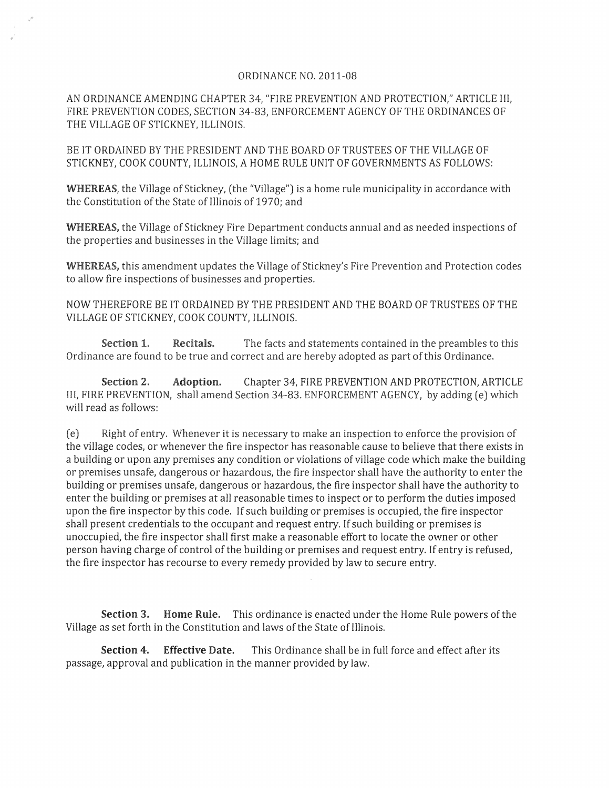## ORDINANCE NO. 2011-08

AN ORDINANCE AMENDING CHAPTER 34, "FIRE PREVENTION AND PROTECTION," ARTICLE III, FIRE PREVENTION CODES, SECTION 34-83, ENFORCEMENT AGENCY OF THE ORDINANCES OF THE VILLAGE OF STICKNEY, ILLINOIS.

BE IT ORDAINED BY THE PRESIDENT AND THE BOARD OF TRUSTEES OF THE VILLAGE OF STICKNEY, COOK COUNTY, ILLINOIS, A HOME RULE UNIT OF GOVERNMENTS AS FOLLOWS:

WHEREAS, the Village of Stickney, (the "Village") is a home rule municipality in accordance with the Constitution of the State of Illinois of 1970; and

**WHEREAS,** the Village of Stickney Fire Department conducts annual and as needed inspections of the properties and businesses in the Village limits; and

**WHEREAS,** this amendment updates the *Village* of Stickney's Fire Prevention and Protection codes to allow fire inspections of businesses and properties.

NOW THEREFORE BE IT ORDAINED BY THE PRESIDENT AND THE BOARD OF TRUSTEES OF THE VILLAGE OF STICKNEY, COOK COUNTY, ILLINOIS.

**Section 1. Recitals.** The facts and statements contained in the preambles to this Ordinance are found to be true and correct and are hereby adopted as part of this Ordinance.

**Section 2. Adoption.** Chapter 34, FIRE PREVENTION AND PROTECTION, ARTICLE III, FIRE PREVENTION, shall amend Section 34-83. ENFORCEMENT AGENCY, by adding (e) which will read as follows:

(e) Right of entry. Whenever it is necessary to make an inspection to enforce the provision of the village codes, or whenever the fire inspector has reasonable cause to believe that there exists in a building or upon any premises any condition or violations of village code which make the building or premises unsafe, dangerous or hazardous, the fire inspector shall have the authority to enter the building or premises unsafe, dangerous or hazardous, the fire inspector shall have the authority to enter the building or premises at all reasonable times to inspect or to perform the duties imposed upon the fire inspector by this code. If such building or premises is occupied, the fire inspector shall present credentials to the occupant and request entry. If such building or premises is unoccupied, the fire inspector shall first make a reasonable effort to locate the owner or other person having charge of control of the building or premises and request entry. If entry is refused, the fire inspector has recourse to every remedy provided by law to secure entry.

**Section 3.** Home Rule. This ordinance is enacted under the Home Rule powers of the *Village* as set forth in the Constitution and laws of the State of Illinois.

**Section 4. Effective Date.** This Ordinance shall be in full force and effect after its passage, approval and publication in the manner provided by law.